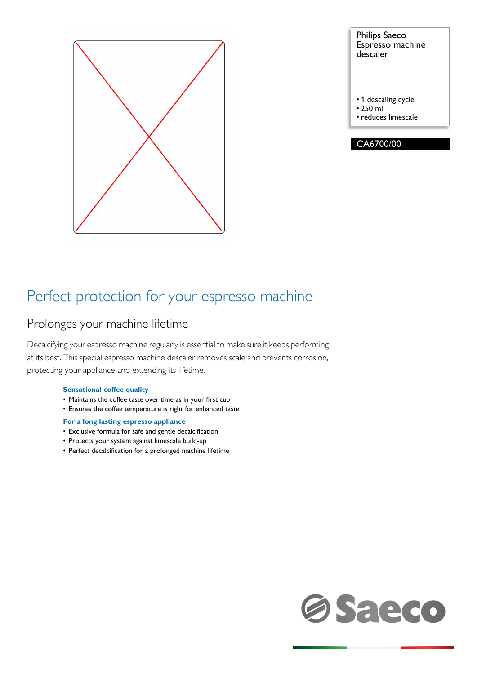

Philips Saeco Espresso machine descaler

• 1 descaling cycle

• 250 ml

• reduces limescale



### Perfect protection for your espresso machine

### Prolonges your machine lifetime

Decalcifying your espresso machine regularly is essential to make sure it keeps performing at its best. This special espresso machine descaler removes scale and prevents corrosion, protecting your appliance and extending its lifetime.

### **Sensational coffee quality**

- Maintains the coffee taste over time as in your first cup
- Ensures the coffee temperature is right for enhanced taste

### **For a long lasting espresso appliance**

- Exclusive formula for safe and gentle decalcification
- Protects your system against limescale build-up
- Perfect decalcification for a prolonged machine lifetime